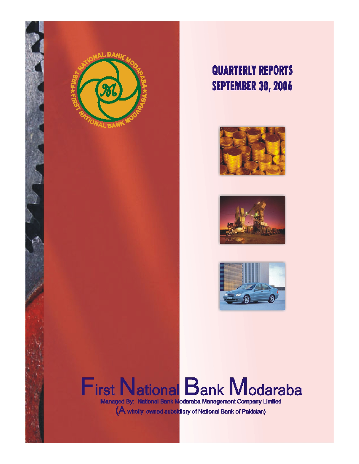

# **QUARTERLY REPORTS SEPTEMBER 30, 2006**







# **First National Bank Modaraba** Managed By: National Bank Modaraba Management Company Umited

(A wholly owned subsidiary of National Bank of Pakistan)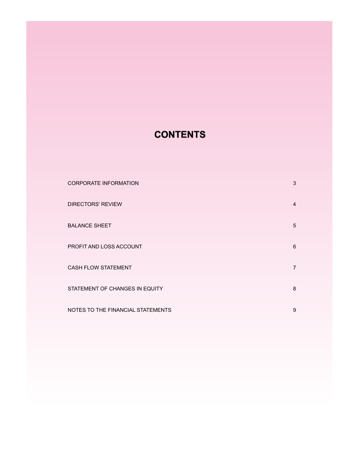# **CONTENTS**

| <b>CORPORATE INFORMATION</b>      | 3 |
|-----------------------------------|---|
| <b>DIRECTORS' REVIEW</b>          | 4 |
| <b>BALANCE SHEET</b>              | 5 |
| PROFIT AND LOSS ACCOUNT           | 6 |
| <b>CASH FLOW STATEMENT</b>        | 7 |
| STATEMENT OF CHANGES IN EQUITY    | 8 |
| NOTES TO THE FINANCIAL STATEMENTS | 9 |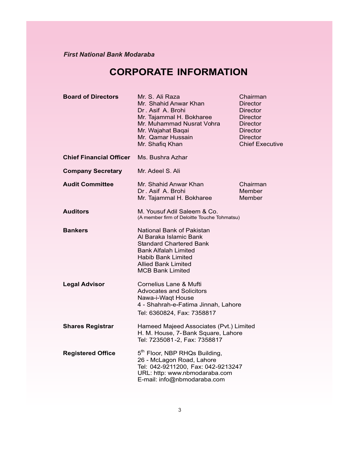# **CORPORATE INFORMATION**

| <b>Board of Directors</b>      | Mr. S. Ali Raza<br>Mr. Shahid Anwar Khan<br>Dr. Asif A. Brohi<br>Mr. Tajammal H. Bokharee<br>Mr. Muhammad Nusrat Vohra<br>Mr. Wajahat Baqai<br>Mr. Qamar Hussain<br>Mr. Shafiq Khan                 | Chairman<br><b>Director</b><br><b>Director</b><br><b>Director</b><br><b>Director</b><br><b>Director</b><br>Director<br><b>Chief Executive</b> |  |
|--------------------------------|-----------------------------------------------------------------------------------------------------------------------------------------------------------------------------------------------------|-----------------------------------------------------------------------------------------------------------------------------------------------|--|
| <b>Chief Financial Officer</b> | Ms. Bushra Azhar                                                                                                                                                                                    |                                                                                                                                               |  |
| <b>Company Secretary</b>       | Mr. Adeel S. Ali                                                                                                                                                                                    |                                                                                                                                               |  |
| <b>Audit Committee</b>         | Mr. Shahid Anwar Khan<br>Dr. Asif A. Brohi<br>Mr. Tajammal H. Bokharee                                                                                                                              | Chairman<br>Member<br>Member                                                                                                                  |  |
| <b>Auditors</b>                | M. Yousuf Adil Saleem & Co.<br>(A member firm of Deloitte Touche Tohmatsu)                                                                                                                          |                                                                                                                                               |  |
| <b>Bankers</b>                 | National Bank of Pakistan<br>Al Baraka Islamic Bank<br><b>Standard Chartered Bank</b><br><b>Bank Alfalah Limited</b><br>Habib Bank Limited<br><b>Allied Bank Limited</b><br><b>MCB Bank Limited</b> |                                                                                                                                               |  |
| <b>Legal Advisor</b>           | Cornelius Lane & Mufti<br><b>Advocates and Solicitors</b><br>Nawa-i-Waqt House<br>4 - Shahrah-e-Fatima Jinnah, Lahore<br>Tel: 6360824, Fax: 7358817                                                 |                                                                                                                                               |  |
| <b>Shares Registrar</b>        | Hameed Majeed Associates (Pvt.) Limited<br>H. M. House, 7-Bank Square, Lahore<br>Tel: 7235081-2, Fax: 7358817                                                                                       |                                                                                                                                               |  |
| <b>Registered Office</b>       | 5 <sup>th</sup> Floor, NBP RHQs Building,<br>26 - McLagon Road, Lahore<br>Tel: 042-9211200, Fax: 042-9213247<br>URL: http: www.nbmodaraba.com<br>E-mail: info@nbmodaraba.com                        |                                                                                                                                               |  |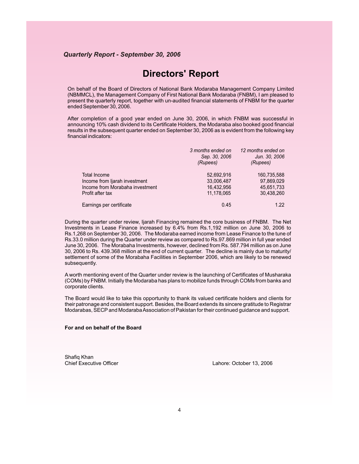# **Directors' Report**

On behalf of the Board of Directors of National Bank Modaraba Management Company Limited (NBMMCL), the Management Company of First National Bank Modaraba (FNBM), I am pleased to present the quarterly report, together with un-audited financial statements of FNBM for the quarter ended September 30, 2006.

After completion of a good year ended on June 30, 2006, in which FNBM was successful in announcing 10% cash dividend to its Certificate Holders, the Modaraba also booked good financial results in the subsequent quarter ended on September 30, 2006 as is evident from the following key financial indicators:

|                                 | 3 months ended on<br>Sep. 30, 2006<br>(Rupees) | 12 months ended on<br>Jun. 30, 2006<br>(Rupees) |
|---------------------------------|------------------------------------------------|-------------------------------------------------|
| Total Income                    | 52,692,916                                     | 160,735,588                                     |
| Income from liarah investment   | 33,006,487                                     | 97,869,029                                      |
| Income from Morabaha investment | 16,432,956                                     | 45,651,733                                      |
| Profit after tax                | 11,178,065                                     | 30,438,260                                      |
| Earnings per certificate        | 0.45                                           | 1.22                                            |

During the quarter under review, Ijarah Financing remained the core business of FNBM. The Net Investments in Lease Finance increased by 6.4% from Rs.1,192 million on June 30, 2006 to Rs.1,268 on September 30, 2006. The Modaraba earned income from Lease Finance to the tune of Rs.33.0 million during the Quarter under review as compared to Rs.97.869 million in full year ended June 30, 2006. The Morabaha Investments, however, declined from Rs. 587.794 million as on June 30, 2006 to Rs. 439.368 million at the end of current quarter. The decline is mainly due to maturity/ settlement of some of the Morabaha Facilities in September 2006, which are likely to be renewed subsequently.

A worth mentioning event of the Quarter under review is the launching of Certificates of Musharaka (COMs) by FNBM. Initially the Modaraba has plans to mobilize funds through COMs from banks and corporate clients.

The Board would like to take this opportunity to thank its valued certificate holders and clients for their patronage and consistent support. Besides, the Board extends its sincere gratitude to Registrar Modarabas, SECP and Modaraba Association of Pakistan for their continued guidance and support.

### **For and on behalf of the Board**

Shafiq Khan<br>Chief Executive Officer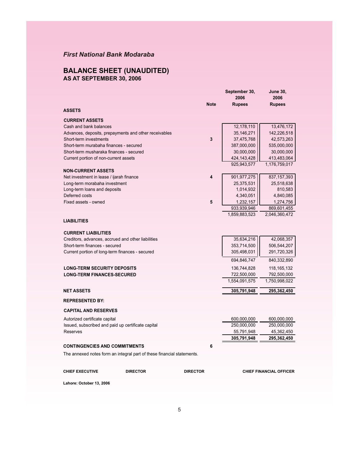## **BALANCE SHEET (UNAUDITED) AS AT SEPTEMBER 30, 2006**

|                                                    |                                                                        |                 | September 30,<br>2006 | <b>June 30,</b><br>2006        |
|----------------------------------------------------|------------------------------------------------------------------------|-----------------|-----------------------|--------------------------------|
| <b>ASSETS</b>                                      |                                                                        | <b>Note</b>     | <b>Rupees</b>         | <b>Rupees</b>                  |
| <b>CURRENT ASSETS</b>                              |                                                                        |                 |                       |                                |
| Cash and bank balances                             |                                                                        |                 | 12,178,110            | 13,476,172                     |
|                                                    | Advances, deposits, prepayments and other receivables                  |                 | 35, 146, 271          | 142,226,518                    |
| Short-term investments                             |                                                                        | 3               | 37,475,768            | 42,573,263                     |
| Short-term murabaha finances - secured             |                                                                        |                 | 387,000,000           | 535,000,000                    |
| Short-term musharaka finances - secured            |                                                                        |                 | 30,000,000            | 30,000,000                     |
| Current portion of non-current assets              |                                                                        |                 | 424, 143, 428         | 413,483,064                    |
|                                                    |                                                                        |                 | 925,943,577           | 1,176,759,017                  |
| <b>NON-CURRENT ASSETS</b>                          |                                                                        |                 |                       |                                |
| Net investment in lease / ijarah finance           |                                                                        | 4               | 901, 977, 275         | 837, 157, 393                  |
| Long-term morabaha investment                      |                                                                        |                 | 25,375,531            | 25,518,638                     |
| Long-term loans and deposits                       |                                                                        |                 | 1,014,932             | 810,583                        |
| Deferred costs                                     |                                                                        |                 | 4,340,051             | 4,840,085                      |
| Fixed assets - owned                               |                                                                        | 5               | 1,232,157             | 1,274,756                      |
|                                                    |                                                                        |                 | 933,939,946           | 869,601,455                    |
| <b>LIABILITIES</b>                                 |                                                                        |                 | 1,859,883,523         | 2,046,360,472                  |
| <b>CURRENT LIABILITIES</b>                         |                                                                        |                 |                       |                                |
| Creditors, advances, accrued and other liabilities |                                                                        |                 | 35,634,216            | 42,068,357                     |
| Short-term finances - secured                      |                                                                        |                 | 353,714,500           | 506,544,207                    |
| Current portion of long-term finances - secured    |                                                                        |                 | 305,498,031           | 291,720,326                    |
|                                                    |                                                                        |                 | 694,846,747           | 840,332,890                    |
| <b>LONG-TERM SECURITY DEPOSITS</b>                 |                                                                        |                 | 136,744,828           | 118, 165, 132                  |
| <b>LONG-TERM FINANCES-SECURED</b>                  |                                                                        |                 | 722,500,000           | 792,500,000                    |
|                                                    |                                                                        |                 | 1,554,091,575         | 1,750,998,022                  |
| <b>NET ASSETS</b>                                  |                                                                        |                 | 305,791,948           | 295,362,450                    |
| <b>REPRESENTED BY:</b>                             |                                                                        |                 |                       |                                |
| <b>CAPITAL AND RESERVES</b>                        |                                                                        |                 |                       |                                |
| Autorized certificate capital                      |                                                                        |                 | 600,000,000           | 600,000,000                    |
| Issued, subscribed and paid up certificate capital |                                                                        |                 | 250,000,000           | 250,000,000                    |
| <b>Reserves</b>                                    |                                                                        |                 | 55,791,948            | 45,362,450                     |
|                                                    |                                                                        |                 | 305,791,948           | 295,362,450                    |
| <b>CONTINGENCIES AND COMMITMENTS</b>               |                                                                        | 6               |                       |                                |
|                                                    | The annexed notes form an integral part of these financial statements. |                 |                       |                                |
| <b>CHIEF EXECUTIVE</b>                             | <b>DIRECTOR</b>                                                        | <b>DIRECTOR</b> |                       | <b>CHIEF FINANCIAL OFFICER</b> |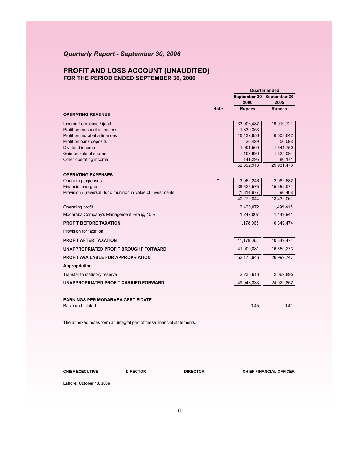# *Quarterly Report - September 30, 2006*

## **PROFIT AND LOSS ACCOUNT (UNAUDITED) FOR THE PERIOD ENDED SEPTEMBER 30, 2006**

|                                                               |                | <b>Quarter ended</b> |                                   |
|---------------------------------------------------------------|----------------|----------------------|-----------------------------------|
|                                                               |                | 2006                 | September 30 September 30<br>2005 |
|                                                               | <b>Note</b>    | <b>Rupees</b>        | <b>Rupees</b>                     |
| <b>OPERATING REVENUE</b>                                      |                |                      |                                   |
| Income from lease / ijarah                                    |                | 33,006,487           | 19,910,721                        |
| Profit on musharika finances                                  |                | 1,830,353            |                                   |
| Profit on murabaha finances                                   |                | 16,432,956           | 6,508,642                         |
| Profit on bank deposits                                       |                | 20,429               | 56,098                            |
| Dividend income                                               |                | 1,091,500            | 1,544,750                         |
| Gain on sale of shares                                        |                | 169,896              | 1,825,094                         |
| Other operating income                                        |                | 141,295              | 86,171                            |
|                                                               |                | 52,692,916           | 29,931,476                        |
| <b>OPERATING EXPENSES</b>                                     |                |                      |                                   |
| Operating expenses                                            | $\overline{7}$ | 3,062,246            | 2,982,682                         |
| <b>Financial charges</b>                                      |                | 38,525,575           | 15,352,971                        |
| Provision / (reversal) for dimunition in value of investments |                | (1,314,977)          | 96,408                            |
|                                                               |                | 40,272,844           | 18,432,061                        |
| Operating profit                                              |                | 12,420,072           | 11,499,415                        |
| Modaraba Company's Management Fee @ 10%                       |                | 1,242,007            | 1,149,941                         |
| <b>PROFIT BEFORE TAXATION</b>                                 |                | 11,178,065           | 10,349,474                        |
| Provision for taxation                                        |                |                      |                                   |
| <b>PROFIT AFTER TAXATION</b>                                  |                | 11,178,065           | 10,349,474                        |
| UNAPPROPRIATED PROFIT BROUGHT FORWARD                         |                | 41,000,881           | 16,650,273                        |
| <b>PROFIT AVAILABLE FOR APPROPRIATION</b>                     |                | 52,178,946           | 26,999,747                        |
| Appropriation                                                 |                |                      |                                   |
| Transfer to statutory reserve                                 |                | 2,235,613            | 2,069,895                         |
| UNAPPROPRIATED PROFIT CARRIED FORWARD                         |                | 49,943,333           | 24,929,852                        |
|                                                               |                |                      |                                   |
| <b>EARNINGS PER MODARABA CERTIFICATE</b>                      |                |                      |                                   |
| Basic and diluted                                             |                | 0.45                 | 0.41                              |

The annexed notes form an integral part of these financial statements.

**CHIEF EXECUTIVE DIRECTOR DIRECTOR CHIEF FINANCIAL OFFICER**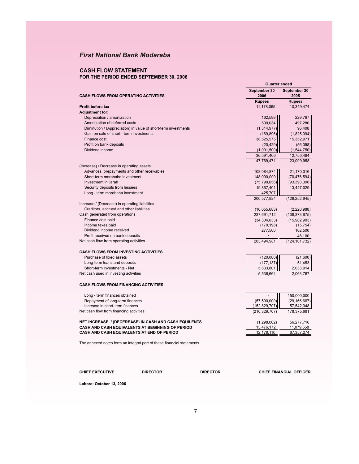## **CASH FLOW STATEMENT FOR THE PERIOD ENDED SEPTEMBER 30, 2006**

|                                                                        | <b>Quarter ended</b>  |                      |
|------------------------------------------------------------------------|-----------------------|----------------------|
|                                                                        | September 30          | September 30         |
| <b>CASH FLOWS FROM OPERATING ACTIVITIES</b>                            | 2006                  | 2005                 |
|                                                                        | <b>Rupees</b>         | <b>Rupees</b>        |
| Profit before tax                                                      | 11,178,065            | 10,349,474           |
| <b>Adjustment for:</b>                                                 |                       |                      |
| Depreciation / amortization                                            | 162,599               | 229,767              |
| Amortization of deferred costs                                         | 500,034               | 497,280              |
| Diminution / (Appreciation) in value of short-term investments         | (1,314,977)           | 96,408               |
| Gain on sale of short - term investments                               | (169, 896)            | (1,825,094)          |
| Finance cost                                                           | 38,525,575            | 15,352,971           |
| Profit on bank deposits                                                | (20, 429)             | (56,098)             |
| Dividend income                                                        | (1,091,500)           | (1,544,750)          |
|                                                                        | 36,591,406            | 12,750,484           |
|                                                                        | 47,769,471            | 23,099,958           |
| (Increase) / Decrease in operating assets                              |                       |                      |
| Advances, prepayments and other receivables                            | 108,084,874           | 21,170,316           |
| Short-term morabaha investment                                         | 148,000,000           | (70, 476, 594)       |
| Investment in ijarah                                                   | (75, 790, 058)        | (93, 393, 396)       |
| Security deposits from lessees                                         | 19,857,401            | 13,447,029           |
| Long - term morabaha investment                                        | 425,707               |                      |
|                                                                        | 200,577,924           | (129, 252, 645)      |
| Increase / (Decrease) in operating liabilities                         |                       |                      |
| Creditors, accrued and other liabilities                               | (10,655,683)          | (2, 220, 988)        |
| Cash generated from operations                                         | 237,691,712           | (108, 373, 675)      |
| Finance cost paid                                                      | (34, 304, 033)        | (15,982,903)         |
| Income taxes paid<br>Dividend income received                          | (170, 198)<br>277,500 | (15, 754)<br>162,500 |
| Profit received on bank deposits                                       |                       | 48,100               |
| Net cash flow from operating activities                                | 203,494,981           | (124, 161, 732)      |
|                                                                        |                       |                      |
| <b>CASH FLOWS FROM INVESTING ACTIVITIES</b>                            |                       |                      |
| Purchase of fixed assets                                               | (120,000)             | (21,600)             |
| Long-term loans and deposits                                           | (177, 137)            | 51,453               |
| Short-term investments - Net                                           | 5,833,801             | 2,033,914            |
| Net cash used in investing activities                                  | 5,536,664             | 2,063,767            |
|                                                                        |                       |                      |
| <b>CASH FLOWS FROM FINANCING ACTIVITIES</b>                            |                       |                      |
| Long - term finances obtained                                          |                       | 150,000,000          |
| Repayment of long-term finances                                        | (57,500,000)          | (29, 166, 667)       |
| Increase in short-term finances                                        | (152, 829, 707)       | 57,542,348           |
| Net cash flow from financing activities                                | (210, 329, 707)       | 178,375,681          |
|                                                                        |                       |                      |
| <b>NET INCREASE / (DECEREASE) IN CASH AND CASH EQUILENTS</b>           | (1,298,062)           | 56,277,716           |
| CASH AND CASH EQUIVALENTS AT BEGINNING OF PERIOD                       | 13,476,172            | 11,079,558           |
| CASH AND CASH EQUIVALENTS AT END OF PERIOD                             | 12,178,110            | 67,357,274           |
|                                                                        |                       |                      |
| The annexed notes form an integral part of these financial statements. |                       |                      |

**CHIEF EXECUTIVE DIRECTOR DIRECTOR CHIEF FINANCIAL OFFICER**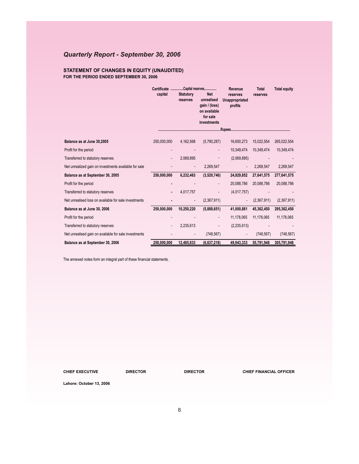# *Quarterly Report - September 30, 2006*

### **STATEMENT OF CHANGES IN EQUITY (UNAUDITED) FOR THE PERIOD ENDED SEPTEMBER 30, 2006**

|                                                       | Certificate Capital reserves<br>capital | <b>Statutory</b><br>reserves | <b>Net</b><br>unrealised<br>gain / (loss)<br>on available<br>for sale<br>investments | Revenue<br>reserves<br>Unappropriated<br>profits | <b>Total</b><br>reserves | <b>Total equity</b> |
|-------------------------------------------------------|-----------------------------------------|------------------------------|--------------------------------------------------------------------------------------|--------------------------------------------------|--------------------------|---------------------|
| Balance as at June 30,2005                            | 250,000,000                             | 4,162,568                    | (5,790,287)                                                                          | 16,650,273                                       | 15,022,554               | 265,022,554         |
| Profit for the period                                 |                                         |                              |                                                                                      | 10,349,474                                       | 10,349,474               | 10,349,474          |
| Transferred to statutory reserves                     |                                         | 2,069,895                    |                                                                                      | (2,069,895)                                      |                          |                     |
| Net unrealized gain on investments available for sale |                                         |                              | 2,269,547                                                                            |                                                  | 2,269,547                | 2,269,547           |
| Balance as at September 30, 2005                      | 250,000,000                             | 6,232,463                    | (3,520,740)                                                                          | 24,929,852                                       | 27,641,575               | 277,641,575         |
| Profit for the period                                 |                                         |                              |                                                                                      | 20,088,786                                       | 20,088,786               | 20,088,786          |
| Transferred to statutory reserves                     |                                         | 4,017,757                    |                                                                                      | (4,017,757)                                      |                          |                     |
| Net unrealised loss on available for sale investments |                                         |                              | (2,367,911)                                                                          |                                                  | (2,367,911)              | (2,367,911)         |
| Balance as at June 30, 2006                           | 250,000,000                             | 10,250,220                   | (5,888,651)                                                                          | 41,000,881                                       | 45,362,450               | 295,362,450         |
| Profit for the period                                 |                                         |                              |                                                                                      | 11,178,065                                       | 11,178,065               | 11,178,065          |
| Transferred to statutory reserves                     |                                         | 2,235,613                    |                                                                                      | (2, 235, 613)                                    |                          |                     |
| Net unrealised gain on available for sale investments |                                         |                              | (748, 567)                                                                           |                                                  | (748, 567)               | (748, 567)          |
| Balance as at September 30, 2006                      | 250.000.000                             | 12,485,833                   | (6.637.218)                                                                          | 49,943,333                                       | 55,791,948               | 305,791,948         |

The annexed notes form an integral part of these financial statements.

**CHIEF EXECUTIVE DIRECTOR DIRECTOR CHIEF FINANCIAL OFFICER**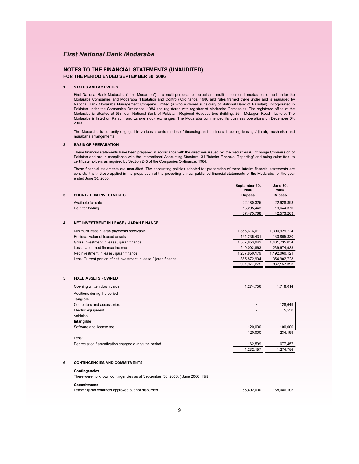### **NOTES TO THE FINANCIAL STATEMENTS (UNAUDITED) FOR THE PERIOD ENDED SEPTEMBER 30, 2006**

#### **1 STATUS AND ACTIVITIES**

First National Bank Modaraba (" the Modaraba") is a multi purpose, perpetual and multi dimensional modaraba formed under the Modaraba Companies and Modaraba (Floatation and Control) Ordinance, 1980 and rules framed there under and is managed by National Bank Modaraba Management Company Limited (a wholly owned subsidiary of National Bank of Pakistan), incorporated in Pakistan under the Companies Ordinance, 1984 and registered with registrar of Modaraba Companies. The registered office of the Modaraba is situated at 5th floor, National Bank of Pakistan, Regional Headquarters Building, 26 - McLagon Road , Lahore. The Modaraba is listed on Karachi and Lahore stock exchanges. The Modaraba commenced its business operations on December 04, 2003.

The Modaraba is currently engaged in various Islamic modes of financing and business including leasing / ijarah, musharika and murabaha arrangements.

#### **2 BASIS OF PREPARATION**

These financial statements have been prepared in accordance with the directives issued by the Securities & Exchange Commission of Pakistan and are in compliance with the International Accounting Standard 34 "Interim Financial Reporting" and being submitted to certificate holders as required by Section 245 of the Companies Ordinance, 1984.

These financial statements are unaudited. The accounting policies adopted for preparation of these interim financial statements are consistant with those applied in the preparation of the preceding annual published financial statements of the Modaraba for the year ended June 30, 2006.

| 3 | <b>SHORT-TERM INVESTMENTS</b>                                     | September 30,<br>2006<br><b>Rupees</b> | <b>June 30,</b><br>2006<br><b>Rupees</b> |
|---|-------------------------------------------------------------------|----------------------------------------|------------------------------------------|
|   | Available for sale                                                | 22,180,325                             | 22,928,893                               |
|   | Held for trading                                                  | 15,295,443                             | 19,644,370                               |
|   |                                                                   | 37,475,768                             | 42,573,263                               |
| 4 | <b>NET INVESTMENT IN LEASE / IJARAH FINANCE</b>                   |                                        |                                          |
|   | Minimum lease / ijarah payments receivable                        | 1,356,616,611                          | 1,300,929,724                            |
|   | Residual value of leased assets                                   | 151,236,431                            | 130,805,330                              |
|   | Gross investment in lease / ijarah finance                        | 1,507,853,042                          | 1,431,735,054                            |
|   | Less: Unearned finance income                                     | 240,002,863                            | 239,674,933                              |
|   | Net investment in lease / ijarah finance                          | 1,267,850,179                          | 1,192,060,121                            |
|   | Less: Current portion of net investment in lease / ijarah finance | 365,872,904                            | 354,902,728                              |
|   |                                                                   | 901, 977, 275                          | 837, 157, 393                            |
| 5 | <b>FIXED ASSETS - OWNED</b>                                       |                                        |                                          |
|   | Opening written down value                                        | 1,274,756                              | 1,718,014                                |
|   | Additions during the period                                       |                                        |                                          |
|   | Tangible                                                          |                                        |                                          |
|   | Computers and accessories                                         |                                        | 128,649                                  |
|   | Electric equipment                                                | $\overline{\phantom{0}}$               | 5,550                                    |
|   | Vehicles                                                          | $\overline{a}$                         |                                          |
|   | Intangible                                                        |                                        |                                          |
|   | Software and license fee                                          | 120.000                                | 100,000                                  |
|   |                                                                   | 120.000                                | 234,199                                  |
|   | Less:                                                             |                                        |                                          |
|   | Depreciation / amortization charged during the period             | 162,599                                | 677,457                                  |
|   |                                                                   | 1.232.157                              | 1.274.756                                |

#### **6 CONTINGENCIES AND COMMITMENTS**

#### **Contingencies**

There were no known contingencies as at September 30, 2006. ( June 2006 : Nil)

#### **Commitments**

Lease / ijarah contracts approved but not disbursed. 55,492,000 168,086,105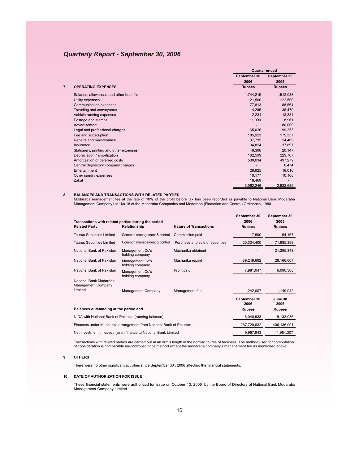## *Quarterly Report - September 30, 2006*

|   |                                         | Quarter ended |               |
|---|-----------------------------------------|---------------|---------------|
|   |                                         | September 30  | September 30  |
|   |                                         | 2006          | 2005          |
| 7 | <b>OPERATING EXPENSES</b>               | <b>Rupees</b> | <b>Rupees</b> |
|   | Salaries, allowances and other benefits | 1,744,219     | 1,512,038     |
|   | Utility expenses                        | 121,500       | 122,500       |
|   | Communication expenses                  | 77,813        | 88,564        |
|   | Traveling and conveyance                | 4,285         | 36,470        |
|   | Vehicle running expenses                | 12,231        | 13,384        |
|   | Postage and stamps                      | 11,090        | 8,961         |
|   | Advertisement                           |               | 80,000        |
|   | Legal and professional charges          | 65,026        | 99,253        |
|   | Fee and subscription                    | 185,923       | 179,357       |
|   | Repairs and maintenance                 | 37,735        | 24,469        |
|   | Insurance                               | 34,824        | 37,897        |
|   | Stationery, printing and other expenses | 49,396        | 20,147        |
|   | Depreciation / amortization             | 162,599       | 229,767       |
|   | Amortization of deferred costs          | 500,034       | 497,279       |
|   | Central depository company charges      |               | 6,474         |
|   | Entertainment                           | 26,925        | 16,016        |
|   | Other sundry expenses                   | 10,177        | 10,106        |
|   | Zakat                                   | 18,469        |               |
|   |                                         | 3,062,246     | 2.982.682     |

#### **8 BALANCES AND TRANSACTIONS WITH RELATED PARTIES**

Modaraba management fee at the rate of 10% of the profit before tax has been recorded as payable to National Bank Modaraba Management Company Ltd U/s 18 of the Modaraba Companies and Modaraba (Floatation and Control) Ordinance, 1980

| Transactions with related parties during the period<br><b>Related Party</b> | Relationship                       | <b>Nature of Transactions</b>   | September 30<br>2006<br><b>Rupees</b> | September 30<br>2005<br><b>Rupees</b> |
|-----------------------------------------------------------------------------|------------------------------------|---------------------------------|---------------------------------------|---------------------------------------|
| <b>Taurus Securities Limited</b>                                            | Common management & control        | Commission paid                 | 7,500                                 | 54,167                                |
| <b>Taurus Securities Limited</b>                                            | Common management & control        | Purchase and sale of securities | 20,334,400                            | 71,985,398                            |
| National Bank of Pakistan                                                   | Management Co's<br>holding company | Musharika obtained              |                                       | 121,295,348                           |
| National Bank of Pakistan                                                   | Management Co's<br>holding company | Musharika repaid                | 89,249,692                            | 29,166,607                            |
| National Bank of Pakistan                                                   | Management Co's<br>holding company | Profit paid                     | 7,981,047                             | 6,090,308                             |
| National Bank Modaraba<br>Management Company                                |                                    |                                 |                                       |                                       |
| Limited                                                                     | Management Company                 | Management fee                  | 1,242,007                             | 1,149,942                             |
|                                                                             |                                    |                                 | September 30<br>2006                  | June 30<br>2006                       |
| Balances outstanding at the period end                                      | <b>Rupees</b>                      | <b>Rupees</b>                   |                                       |                                       |
| NIDA with National Bank of Pakistan (running balance)                       | 6,040,933                          | 9,133,036                       |                                       |                                       |
| Finances under Musharika arrangement from National Bank of Pakistan         |                                    |                                 | 267,720,632                           | 406,136,991                           |
| Net investment in lease / ljarah finance to National Bank Limited           | 9,967,943                          | 11,984,307                      |                                       |                                       |

Transactions with related parties are carried out at an arm's length in the normal course of business. The method used for computation<br>of consideration is comparable un-controlled price method except the modaraba company's

#### **9 OTHERS**

There were no other significant activities since September 30 , 2006 affecting the financial statements.

#### **10 DATE OF AUTHORIZATION FOR ISSUE**

These financial statements were authorized for issue on October 13, 2006 by the Board of Directors of National Bank Modaraba Management Company Limited.